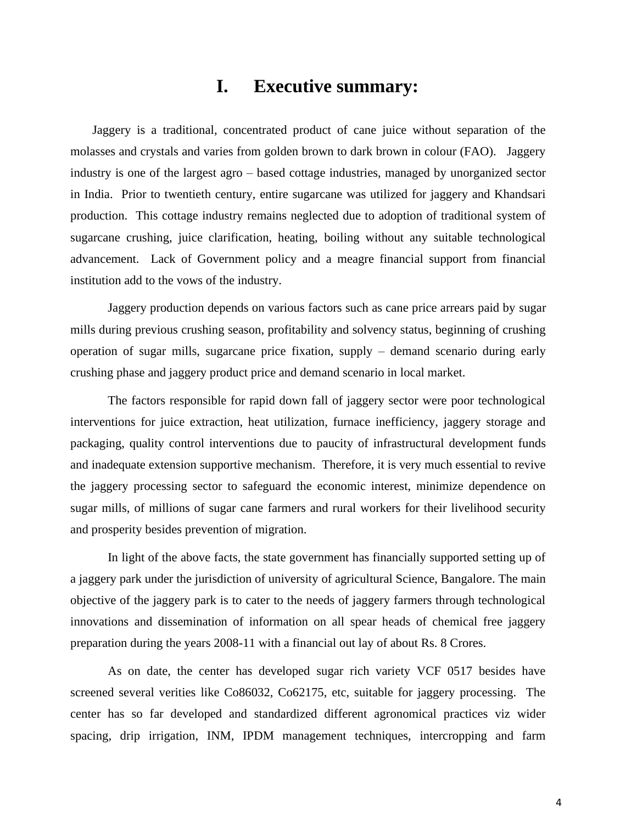## **I. Executive summary:**

Jaggery is a traditional, concentrated product of cane juice without separation of the molasses and crystals and varies from golden brown to dark brown in colour (FAO). Jaggery industry is one of the largest agro – based cottage industries, managed by unorganized sector in India. Prior to twentieth century, entire sugarcane was utilized for jaggery and Khandsari production. This cottage industry remains neglected due to adoption of traditional system of sugarcane crushing, juice clarification, heating, boiling without any suitable technological advancement. Lack of Government policy and a meagre financial support from financial institution add to the vows of the industry.

Jaggery production depends on various factors such as cane price arrears paid by sugar mills during previous crushing season, profitability and solvency status, beginning of crushing operation of sugar mills, sugarcane price fixation, supply – demand scenario during early crushing phase and jaggery product price and demand scenario in local market.

The factors responsible for rapid down fall of jaggery sector were poor technological interventions for juice extraction, heat utilization, furnace inefficiency, jaggery storage and packaging, quality control interventions due to paucity of infrastructural development funds and inadequate extension supportive mechanism. Therefore, it is very much essential to revive the jaggery processing sector to safeguard the economic interest, minimize dependence on sugar mills, of millions of sugar cane farmers and rural workers for their livelihood security and prosperity besides prevention of migration.

In light of the above facts, the state government has financially supported setting up of a jaggery park under the jurisdiction of university of agricultural Science, Bangalore. The main objective of the jaggery park is to cater to the needs of jaggery farmers through technological innovations and dissemination of information on all spear heads of chemical free jaggery preparation during the years 2008-11 with a financial out lay of about Rs. 8 Crores.

As on date, the center has developed sugar rich variety VCF 0517 besides have screened several verities like Co86032, Co62175, etc, suitable for jaggery processing. The center has so far developed and standardized different agronomical practices viz wider spacing, drip irrigation, INM, IPDM management techniques, intercropping and farm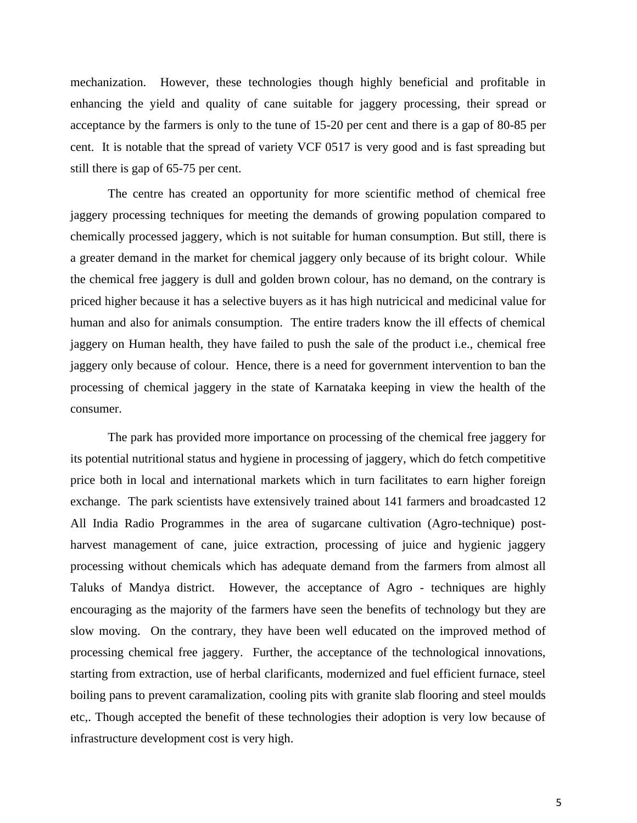mechanization. However, these technologies though highly beneficial and profitable in enhancing the yield and quality of cane suitable for jaggery processing, their spread or acceptance by the farmers is only to the tune of 15-20 per cent and there is a gap of 80-85 per cent. It is notable that the spread of variety VCF 0517 is very good and is fast spreading but still there is gap of 65-75 per cent.

The centre has created an opportunity for more scientific method of chemical free jaggery processing techniques for meeting the demands of growing population compared to chemically processed jaggery, which is not suitable for human consumption. But still, there is a greater demand in the market for chemical jaggery only because of its bright colour. While the chemical free jaggery is dull and golden brown colour, has no demand, on the contrary is priced higher because it has a selective buyers as it has high nutricical and medicinal value for human and also for animals consumption. The entire traders know the ill effects of chemical jaggery on Human health, they have failed to push the sale of the product i.e., chemical free jaggery only because of colour. Hence, there is a need for government intervention to ban the processing of chemical jaggery in the state of Karnataka keeping in view the health of the consumer.

The park has provided more importance on processing of the chemical free jaggery for its potential nutritional status and hygiene in processing of jaggery, which do fetch competitive price both in local and international markets which in turn facilitates to earn higher foreign exchange. The park scientists have extensively trained about 141 farmers and broadcasted 12 All India Radio Programmes in the area of sugarcane cultivation (Agro-technique) postharvest management of cane, juice extraction, processing of juice and hygienic jaggery processing without chemicals which has adequate demand from the farmers from almost all Taluks of Mandya district. However, the acceptance of Agro - techniques are highly encouraging as the majority of the farmers have seen the benefits of technology but they are slow moving. On the contrary, they have been well educated on the improved method of processing chemical free jaggery. Further, the acceptance of the technological innovations, starting from extraction, use of herbal clarificants, modernized and fuel efficient furnace, steel boiling pans to prevent caramalization, cooling pits with granite slab flooring and steel moulds etc,. Though accepted the benefit of these technologies their adoption is very low because of infrastructure development cost is very high.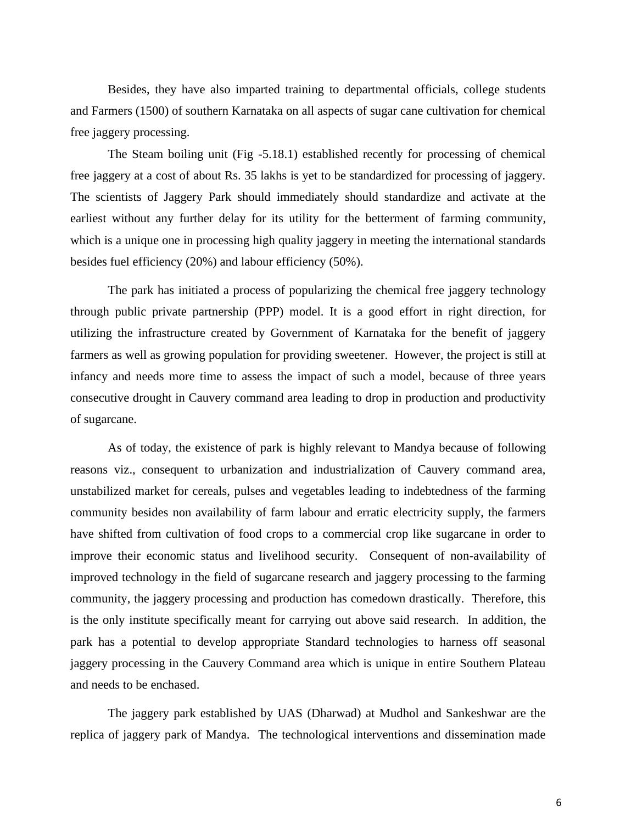Besides, they have also imparted training to departmental officials, college students and Farmers (1500) of southern Karnataka on all aspects of sugar cane cultivation for chemical free jaggery processing.

The Steam boiling unit (Fig -5.18.1) established recently for processing of chemical free jaggery at a cost of about Rs. 35 lakhs is yet to be standardized for processing of jaggery. The scientists of Jaggery Park should immediately should standardize and activate at the earliest without any further delay for its utility for the betterment of farming community, which is a unique one in processing high quality jaggery in meeting the international standards besides fuel efficiency (20%) and labour efficiency (50%).

The park has initiated a process of popularizing the chemical free jaggery technology through public private partnership (PPP) model. It is a good effort in right direction, for utilizing the infrastructure created by Government of Karnataka for the benefit of jaggery farmers as well as growing population for providing sweetener. However, the project is still at infancy and needs more time to assess the impact of such a model, because of three years consecutive drought in Cauvery command area leading to drop in production and productivity of sugarcane.

As of today, the existence of park is highly relevant to Mandya because of following reasons viz., consequent to urbanization and industrialization of Cauvery command area, unstabilized market for cereals, pulses and vegetables leading to indebtedness of the farming community besides non availability of farm labour and erratic electricity supply, the farmers have shifted from cultivation of food crops to a commercial crop like sugarcane in order to improve their economic status and livelihood security. Consequent of non-availability of improved technology in the field of sugarcane research and jaggery processing to the farming community, the jaggery processing and production has comedown drastically. Therefore, this is the only institute specifically meant for carrying out above said research. In addition, the park has a potential to develop appropriate Standard technologies to harness off seasonal jaggery processing in the Cauvery Command area which is unique in entire Southern Plateau and needs to be enchased.

The jaggery park established by UAS (Dharwad) at Mudhol and Sankeshwar are the replica of jaggery park of Mandya. The technological interventions and dissemination made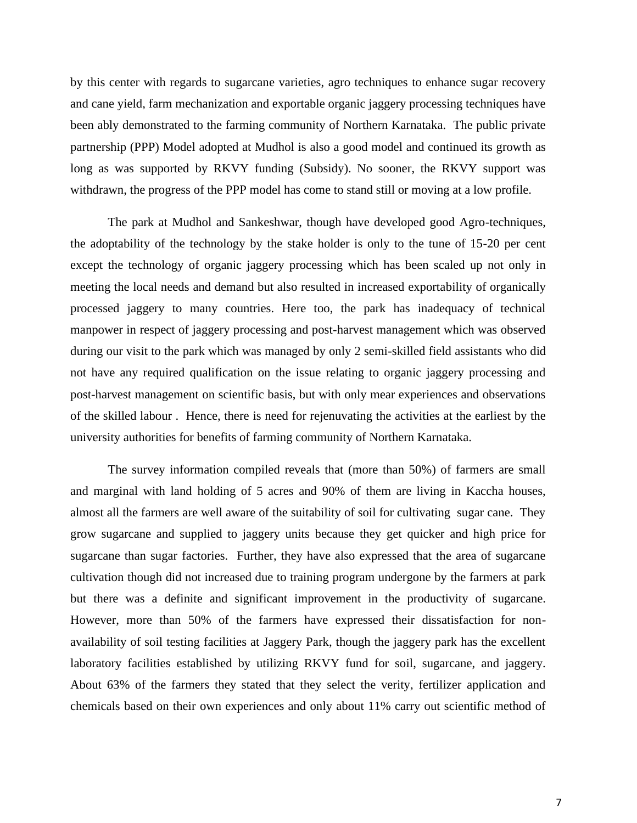by this center with regards to sugarcane varieties, agro techniques to enhance sugar recovery and cane yield, farm mechanization and exportable organic jaggery processing techniques have been ably demonstrated to the farming community of Northern Karnataka. The public private partnership (PPP) Model adopted at Mudhol is also a good model and continued its growth as long as was supported by RKVY funding (Subsidy). No sooner, the RKVY support was withdrawn, the progress of the PPP model has come to stand still or moving at a low profile.

The park at Mudhol and Sankeshwar, though have developed good Agro-techniques, the adoptability of the technology by the stake holder is only to the tune of 15-20 per cent except the technology of organic jaggery processing which has been scaled up not only in meeting the local needs and demand but also resulted in increased exportability of organically processed jaggery to many countries. Here too, the park has inadequacy of technical manpower in respect of jaggery processing and post-harvest management which was observed during our visit to the park which was managed by only 2 semi-skilled field assistants who did not have any required qualification on the issue relating to organic jaggery processing and post-harvest management on scientific basis, but with only mear experiences and observations of the skilled labour . Hence, there is need for rejenuvating the activities at the earliest by the university authorities for benefits of farming community of Northern Karnataka.

The survey information compiled reveals that (more than 50%) of farmers are small and marginal with land holding of 5 acres and 90% of them are living in Kaccha houses, almost all the farmers are well aware of the suitability of soil for cultivating sugar cane. They grow sugarcane and supplied to jaggery units because they get quicker and high price for sugarcane than sugar factories. Further, they have also expressed that the area of sugarcane cultivation though did not increased due to training program undergone by the farmers at park but there was a definite and significant improvement in the productivity of sugarcane. However, more than 50% of the farmers have expressed their dissatisfaction for nonavailability of soil testing facilities at Jaggery Park, though the jaggery park has the excellent laboratory facilities established by utilizing RKVY fund for soil, sugarcane, and jaggery. About 63% of the farmers they stated that they select the verity, fertilizer application and chemicals based on their own experiences and only about 11% carry out scientific method of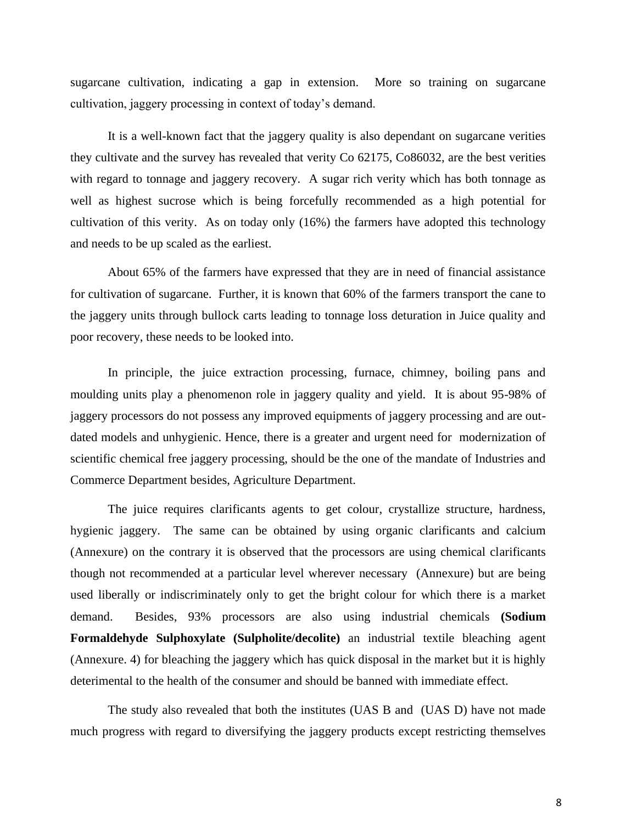sugarcane cultivation, indicating a gap in extension. More so training on sugarcane cultivation, jaggery processing in context of today's demand.

It is a well-known fact that the jaggery quality is also dependant on sugarcane verities they cultivate and the survey has revealed that verity Co 62175, Co86032, are the best verities with regard to tonnage and jaggery recovery. A sugar rich verity which has both tonnage as well as highest sucrose which is being forcefully recommended as a high potential for cultivation of this verity. As on today only (16%) the farmers have adopted this technology and needs to be up scaled as the earliest.

About 65% of the farmers have expressed that they are in need of financial assistance for cultivation of sugarcane. Further, it is known that 60% of the farmers transport the cane to the jaggery units through bullock carts leading to tonnage loss deturation in Juice quality and poor recovery, these needs to be looked into.

In principle, the juice extraction processing, furnace, chimney, boiling pans and moulding units play a phenomenon role in jaggery quality and yield. It is about 95-98% of jaggery processors do not possess any improved equipments of jaggery processing and are outdated models and unhygienic. Hence, there is a greater and urgent need for modernization of scientific chemical free jaggery processing, should be the one of the mandate of Industries and Commerce Department besides, Agriculture Department.

The juice requires clarificants agents to get colour, crystallize structure, hardness, hygienic jaggery. The same can be obtained by using organic clarificants and calcium (Annexure) on the contrary it is observed that the processors are using chemical clarificants though not recommended at a particular level wherever necessary (Annexure) but are being used liberally or indiscriminately only to get the bright colour for which there is a market demand. Besides, 93% processors are also using industrial chemicals **(Sodium Formaldehyde Sulphoxylate (Sulpholite/decolite)** an industrial textile bleaching agent (Annexure. 4) for bleaching the jaggery which has quick disposal in the market but it is highly deterimental to the health of the consumer and should be banned with immediate effect.

The study also revealed that both the institutes (UAS B and (UAS D) have not made much progress with regard to diversifying the jaggery products except restricting themselves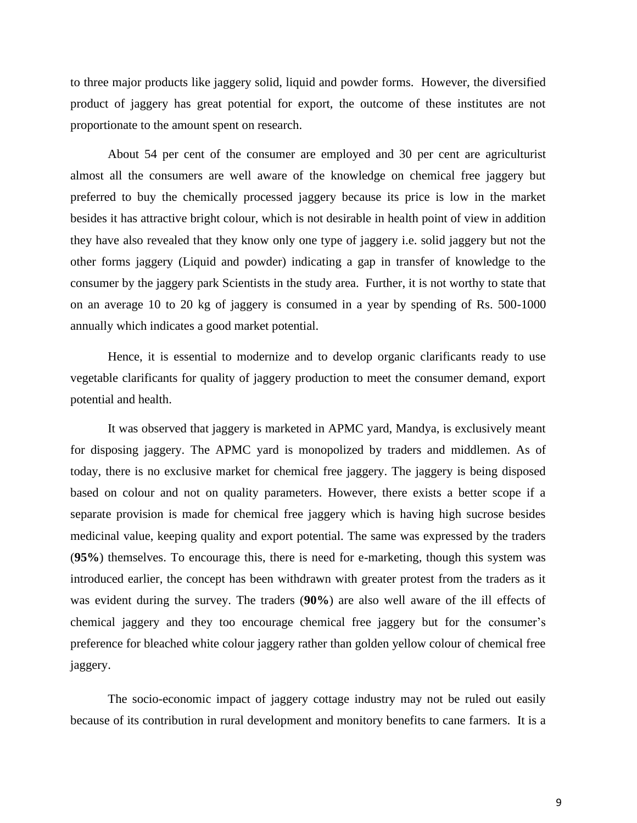to three major products like jaggery solid, liquid and powder forms. However, the diversified product of jaggery has great potential for export, the outcome of these institutes are not proportionate to the amount spent on research.

About 54 per cent of the consumer are employed and 30 per cent are agriculturist almost all the consumers are well aware of the knowledge on chemical free jaggery but preferred to buy the chemically processed jaggery because its price is low in the market besides it has attractive bright colour, which is not desirable in health point of view in addition they have also revealed that they know only one type of jaggery i.e. solid jaggery but not the other forms jaggery (Liquid and powder) indicating a gap in transfer of knowledge to the consumer by the jaggery park Scientists in the study area. Further, it is not worthy to state that on an average 10 to 20 kg of jaggery is consumed in a year by spending of Rs. 500-1000 annually which indicates a good market potential.

Hence, it is essential to modernize and to develop organic clarificants ready to use vegetable clarificants for quality of jaggery production to meet the consumer demand, export potential and health.

It was observed that jaggery is marketed in APMC yard, Mandya, is exclusively meant for disposing jaggery. The APMC yard is monopolized by traders and middlemen. As of today, there is no exclusive market for chemical free jaggery. The jaggery is being disposed based on colour and not on quality parameters. However, there exists a better scope if a separate provision is made for chemical free jaggery which is having high sucrose besides medicinal value, keeping quality and export potential. The same was expressed by the traders (**95%**) themselves. To encourage this, there is need for e-marketing, though this system was introduced earlier, the concept has been withdrawn with greater protest from the traders as it was evident during the survey. The traders (**90%**) are also well aware of the ill effects of chemical jaggery and they too encourage chemical free jaggery but for the consumer's preference for bleached white colour jaggery rather than golden yellow colour of chemical free jaggery.

The socio-economic impact of jaggery cottage industry may not be ruled out easily because of its contribution in rural development and monitory benefits to cane farmers. It is a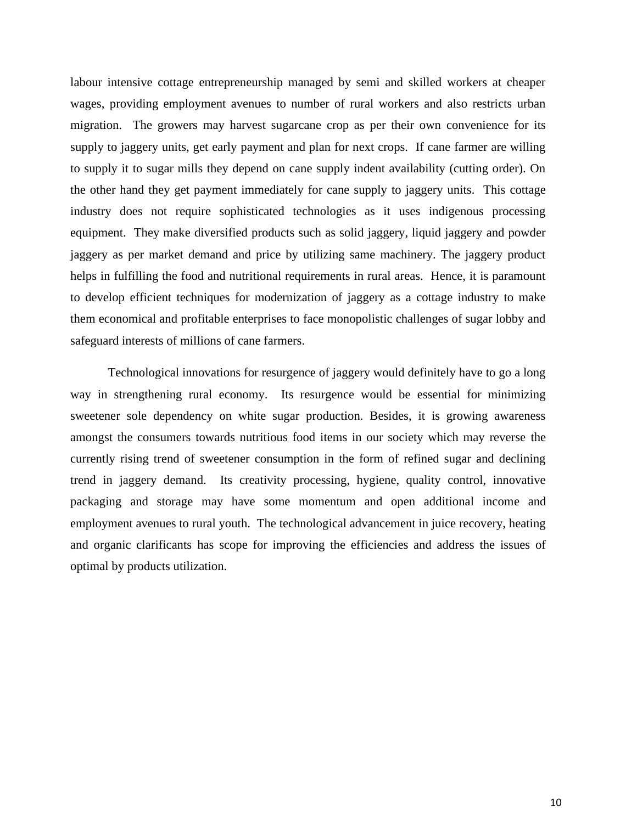labour intensive cottage entrepreneurship managed by semi and skilled workers at cheaper wages, providing employment avenues to number of rural workers and also restricts urban migration. The growers may harvest sugarcane crop as per their own convenience for its supply to jaggery units, get early payment and plan for next crops. If cane farmer are willing to supply it to sugar mills they depend on cane supply indent availability (cutting order). On the other hand they get payment immediately for cane supply to jaggery units. This cottage industry does not require sophisticated technologies as it uses indigenous processing equipment. They make diversified products such as solid jaggery, liquid jaggery and powder jaggery as per market demand and price by utilizing same machinery. The jaggery product helps in fulfilling the food and nutritional requirements in rural areas. Hence, it is paramount to develop efficient techniques for modernization of jaggery as a cottage industry to make them economical and profitable enterprises to face monopolistic challenges of sugar lobby and safeguard interests of millions of cane farmers.

Technological innovations for resurgence of jaggery would definitely have to go a long way in strengthening rural economy. Its resurgence would be essential for minimizing sweetener sole dependency on white sugar production. Besides, it is growing awareness amongst the consumers towards nutritious food items in our society which may reverse the currently rising trend of sweetener consumption in the form of refined sugar and declining trend in jaggery demand. Its creativity processing, hygiene, quality control, innovative packaging and storage may have some momentum and open additional income and employment avenues to rural youth. The technological advancement in juice recovery, heating and organic clarificants has scope for improving the efficiencies and address the issues of optimal by products utilization.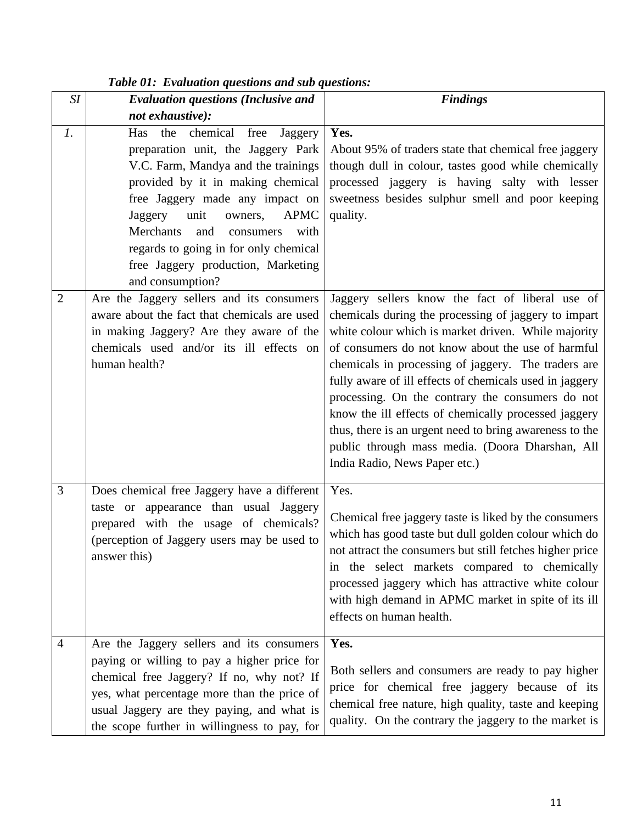| SI              | <b>Evaluation questions (Inclusive and</b>                                                                                                                                                                                                                                                                                                                                              | <b>Findings</b>                                                                                                                                                                                                                                                                                                                                                                                                                                                                                                                                                                                  |
|-----------------|-----------------------------------------------------------------------------------------------------------------------------------------------------------------------------------------------------------------------------------------------------------------------------------------------------------------------------------------------------------------------------------------|--------------------------------------------------------------------------------------------------------------------------------------------------------------------------------------------------------------------------------------------------------------------------------------------------------------------------------------------------------------------------------------------------------------------------------------------------------------------------------------------------------------------------------------------------------------------------------------------------|
|                 | not exhaustive):                                                                                                                                                                                                                                                                                                                                                                        |                                                                                                                                                                                                                                                                                                                                                                                                                                                                                                                                                                                                  |
| $\mathfrak{1}.$ | chemical<br>free<br>Has<br>the<br>Jaggery<br>preparation unit, the Jaggery Park<br>V.C. Farm, Mandya and the trainings<br>provided by it in making chemical<br>free Jaggery made any impact on<br>Jaggery<br>unit<br><b>APMC</b><br>owners,<br>Merchants<br>and<br>with<br>consumers<br>regards to going in for only chemical<br>free Jaggery production, Marketing<br>and consumption? | Yes.<br>About 95% of traders state that chemical free jaggery<br>though dull in colour, tastes good while chemically<br>processed jaggery is having salty with lesser<br>sweetness besides sulphur smell and poor keeping<br>quality.                                                                                                                                                                                                                                                                                                                                                            |
| $\overline{2}$  | Are the Jaggery sellers and its consumers<br>aware about the fact that chemicals are used<br>in making Jaggery? Are they aware of the<br>chemicals used and/or its ill effects on<br>human health?                                                                                                                                                                                      | Jaggery sellers know the fact of liberal use of<br>chemicals during the processing of jaggery to impart<br>white colour which is market driven. While majority<br>of consumers do not know about the use of harmful<br>chemicals in processing of jaggery. The traders are<br>fully aware of ill effects of chemicals used in jaggery<br>processing. On the contrary the consumers do not<br>know the ill effects of chemically processed jaggery<br>thus, there is an urgent need to bring awareness to the<br>public through mass media. (Doora Dharshan, All<br>India Radio, News Paper etc.) |
| 3               | Does chemical free Jaggery have a different<br>taste or appearance than usual Jaggery<br>prepared with the usage of chemicals?<br>(perception of Jaggery users may be used to<br>answer this)                                                                                                                                                                                           | Yes.<br>Chemical free jaggery taste is liked by the consumers<br>which has good taste but dull golden colour which do<br>not attract the consumers but still fetches higher price<br>in the select markets compared to chemically<br>processed jaggery which has attractive white colour<br>with high demand in APMC market in spite of its ill<br>effects on human health.                                                                                                                                                                                                                      |
| 4               | Are the Jaggery sellers and its consumers<br>paying or willing to pay a higher price for<br>chemical free Jaggery? If no, why not? If<br>yes, what percentage more than the price of<br>usual Jaggery are they paying, and what is<br>the scope further in willingness to pay, for                                                                                                      | Yes.<br>Both sellers and consumers are ready to pay higher<br>price for chemical free jaggery because of its<br>chemical free nature, high quality, taste and keeping<br>quality. On the contrary the jaggery to the market is                                                                                                                                                                                                                                                                                                                                                                   |

## *Table 01: Evaluation questions and sub questions:*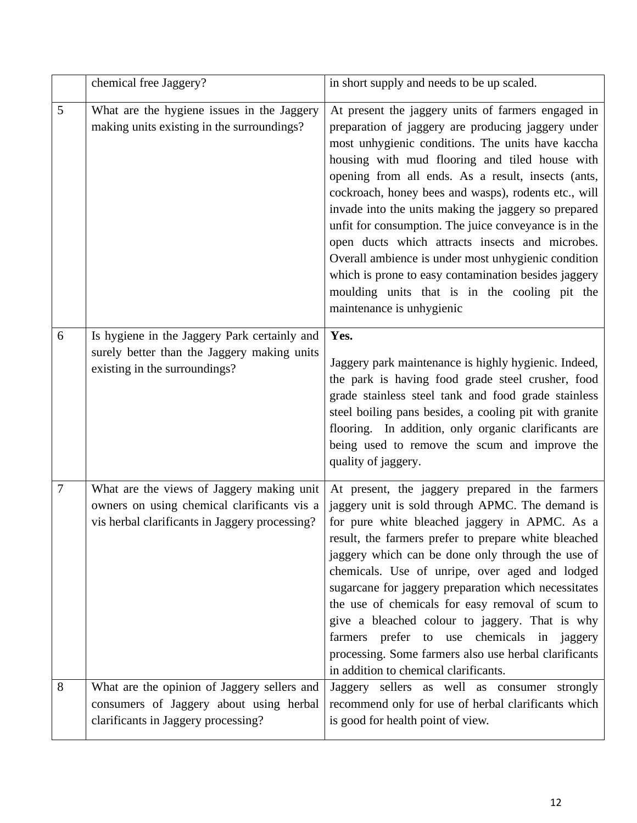|   | chemical free Jaggery?                                                                                                                     | in short supply and needs to be up scaled.                                                                                                                                                                                                                                                                                                                                                                                                                                                                                                                                                                                                                                                     |
|---|--------------------------------------------------------------------------------------------------------------------------------------------|------------------------------------------------------------------------------------------------------------------------------------------------------------------------------------------------------------------------------------------------------------------------------------------------------------------------------------------------------------------------------------------------------------------------------------------------------------------------------------------------------------------------------------------------------------------------------------------------------------------------------------------------------------------------------------------------|
| 5 | What are the hygiene issues in the Jaggery<br>making units existing in the surroundings?                                                   | At present the jaggery units of farmers engaged in<br>preparation of jaggery are producing jaggery under<br>most unhygienic conditions. The units have kaccha<br>housing with mud flooring and tiled house with<br>opening from all ends. As a result, insects (ants,<br>cockroach, honey bees and wasps), rodents etc., will<br>invade into the units making the jaggery so prepared<br>unfit for consumption. The juice conveyance is in the<br>open ducts which attracts insects and microbes.<br>Overall ambience is under most unhygienic condition<br>which is prone to easy contamination besides jaggery<br>moulding units that is in the cooling pit the<br>maintenance is unhygienic |
| 6 | Is hygiene in the Jaggery Park certainly and<br>surely better than the Jaggery making units<br>existing in the surroundings?               | Yes.<br>Jaggery park maintenance is highly hygienic. Indeed,<br>the park is having food grade steel crusher, food<br>grade stainless steel tank and food grade stainless<br>steel boiling pans besides, a cooling pit with granite<br>flooring. In addition, only organic clarificants are<br>being used to remove the scum and improve the<br>quality of jaggery.                                                                                                                                                                                                                                                                                                                             |
| 7 | What are the views of Jaggery making unit<br>owners on using chemical clarificants vis a<br>vis herbal clarificants in Jaggery processing? | At present, the jaggery prepared in the farmers<br>jaggery unit is sold through APMC. The demand is<br>for pure white bleached jaggery in APMC. As a<br>result, the farmers prefer to prepare white bleached<br>jaggery which can be done only through the use of<br>chemicals. Use of unripe, over aged and lodged<br>sugarcane for jaggery preparation which necessitates<br>the use of chemicals for easy removal of scum to<br>give a bleached colour to jaggery. That is why<br>farmers prefer to use chemicals in jaggery<br>processing. Some farmers also use herbal clarificants<br>in addition to chemical clarificants.                                                              |
| 8 | What are the opinion of Jaggery sellers and<br>consumers of Jaggery about using herbal<br>clarificants in Jaggery processing?              | Jaggery sellers as well as consumer strongly<br>recommend only for use of herbal clarificants which<br>is good for health point of view.                                                                                                                                                                                                                                                                                                                                                                                                                                                                                                                                                       |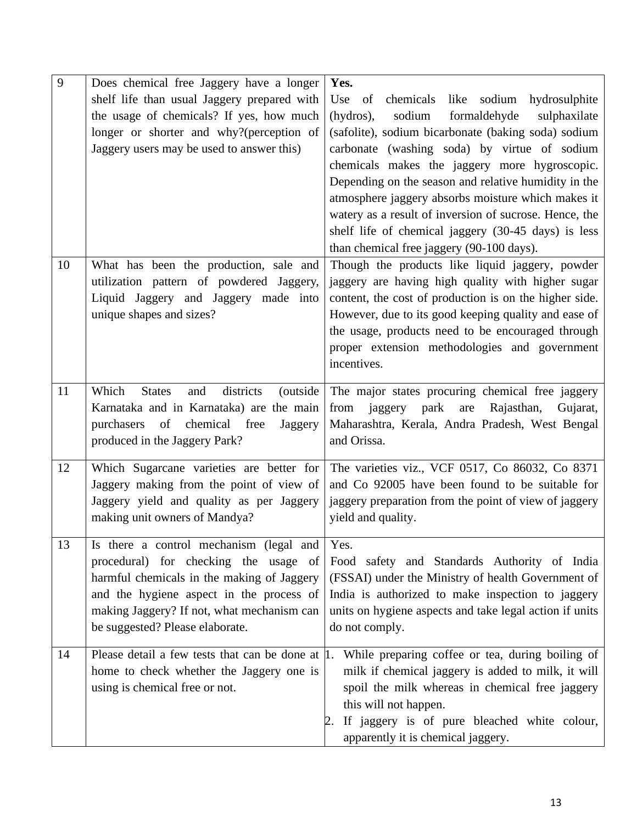| 9  | Does chemical free Jaggery have a longer                                             | Yes.                                                                                               |
|----|--------------------------------------------------------------------------------------|----------------------------------------------------------------------------------------------------|
|    | shelf life than usual Jaggery prepared with                                          | chemicals like sodium<br>Use of<br>hydrosulphite                                                   |
|    | the usage of chemicals? If yes, how much                                             | formaldehyde<br>(hydros),<br>sodium<br>sulphaxilate                                                |
|    | longer or shorter and why?(perception of                                             | (safolite), sodium bicarbonate (baking soda) sodium                                                |
|    | Jaggery users may be used to answer this)                                            | carbonate (washing soda) by virtue of sodium                                                       |
|    |                                                                                      | chemicals makes the jaggery more hygroscopic.                                                      |
|    |                                                                                      | Depending on the season and relative humidity in the                                               |
|    |                                                                                      | atmosphere jaggery absorbs moisture which makes it                                                 |
|    |                                                                                      | watery as a result of inversion of sucrose. Hence, the                                             |
|    |                                                                                      | shelf life of chemical jaggery (30-45 days) is less                                                |
|    |                                                                                      | than chemical free jaggery (90-100 days).                                                          |
| 10 | What has been the production, sale and                                               | Though the products like liquid jaggery, powder                                                    |
|    | utilization pattern of powdered Jaggery,                                             | jaggery are having high quality with higher sugar                                                  |
|    | Liquid Jaggery and Jaggery made into                                                 | content, the cost of production is on the higher side.                                             |
|    | unique shapes and sizes?                                                             | However, due to its good keeping quality and ease of                                               |
|    |                                                                                      | the usage, products need to be encouraged through                                                  |
|    |                                                                                      | proper extension methodologies and government                                                      |
|    |                                                                                      | incentives.                                                                                        |
| 11 | Which<br>districts<br><b>States</b><br>and<br>(outside)                              | The major states procuring chemical free jaggery                                                   |
|    | Karnataka and in Karnataka) are the main                                             | park<br>from<br>are<br>Rajasthan,<br>Gujarat,<br>jaggery                                           |
|    | of chemical free<br>purchasers<br>Jaggery                                            | Maharashtra, Kerala, Andra Pradesh, West Bengal                                                    |
|    | produced in the Jaggery Park?                                                        | and Orissa.                                                                                        |
|    |                                                                                      |                                                                                                    |
| 12 | Which Sugarcane varieties are better for<br>Jaggery making from the point of view of | The varieties viz., VCF 0517, Co 86032, Co 8371<br>and Co 92005 have been found to be suitable for |
|    |                                                                                      |                                                                                                    |
|    | Jaggery yield and quality as per Jaggery<br>making unit owners of Mandya?            | jaggery preparation from the point of view of jaggery<br>yield and quality.                        |
|    |                                                                                      |                                                                                                    |
| 13 | Is there a control mechanism (legal and                                              | Yes.                                                                                               |
|    | procedural) for checking the usage of                                                | Food safety and Standards Authority of India                                                       |
|    | harmful chemicals in the making of Jaggery                                           | (FSSAI) under the Ministry of health Government of                                                 |
|    | and the hygiene aspect in the process of                                             | India is authorized to make inspection to jaggery                                                  |
|    | making Jaggery? If not, what mechanism can                                           | units on hygiene aspects and take legal action if units                                            |
|    | be suggested? Please elaborate.                                                      | do not comply.                                                                                     |
| 14 | Please detail a few tests that can be done at 1.                                     | While preparing coffee or tea, during boiling of                                                   |
|    | home to check whether the Jaggery one is                                             | milk if chemical jaggery is added to milk, it will                                                 |
|    | using is chemical free or not.                                                       | spoil the milk whereas in chemical free jaggery                                                    |
|    |                                                                                      | this will not happen.                                                                              |
|    |                                                                                      | If jaggery is of pure bleached white colour,                                                       |
|    |                                                                                      | apparently it is chemical jaggery.                                                                 |